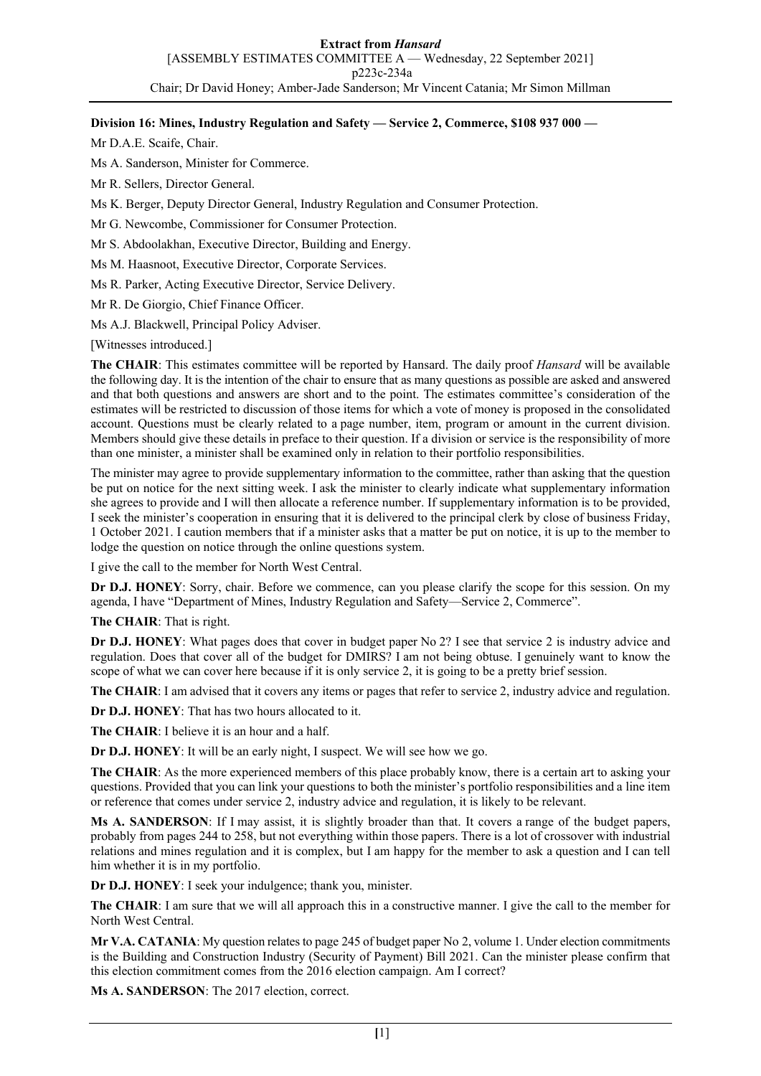**Extract from** *Hansard* [ASSEMBLY ESTIMATES COMMITTEE A — Wednesday, 22 September 2021] p223c-234a Chair; Dr David Honey; Amber-Jade Sanderson; Mr Vincent Catania; Mr Simon Millman

### **Division 16: Mines, Industry Regulation and Safety — Service 2, Commerce, \$108 937 000 —**

Mr D.A.E. Scaife, Chair.

Ms A. Sanderson, Minister for Commerce.

Mr R. Sellers, Director General.

Ms K. Berger, Deputy Director General, Industry Regulation and Consumer Protection.

- Mr G. Newcombe, Commissioner for Consumer Protection.
- Mr S. Abdoolakhan, Executive Director, Building and Energy.
- Ms M. Haasnoot, Executive Director, Corporate Services.
- Ms R. Parker, Acting Executive Director, Service Delivery.

Mr R. De Giorgio, Chief Finance Officer.

Ms A.J. Blackwell, Principal Policy Adviser.

[Witnesses introduced.]

**The CHAIR**: This estimates committee will be reported by Hansard. The daily proof *Hansard* will be available the following day. It is the intention of the chair to ensure that as many questions as possible are asked and answered and that both questions and answers are short and to the point. The estimates committee's consideration of the estimates will be restricted to discussion of those items for which a vote of money is proposed in the consolidated account. Questions must be clearly related to a page number, item, program or amount in the current division. Members should give these details in preface to their question. If a division or service is the responsibility of more than one minister, a minister shall be examined only in relation to their portfolio responsibilities.

The minister may agree to provide supplementary information to the committee, rather than asking that the question be put on notice for the next sitting week. I ask the minister to clearly indicate what supplementary information she agrees to provide and I will then allocate a reference number. If supplementary information is to be provided, I seek the minister's cooperation in ensuring that it is delivered to the principal clerk by close of business Friday, 1 October 2021. I caution members that if a minister asks that a matter be put on notice, it is up to the member to lodge the question on notice through the online questions system.

I give the call to the member for North West Central.

**Dr D.J. HONEY**: Sorry, chair. Before we commence, can you please clarify the scope for this session. On my agenda, I have "Department of Mines, Industry Regulation and Safety—Service 2, Commerce".

**The CHAIR**: That is right.

**Dr D.J. HONEY**: What pages does that cover in budget paper No 2? I see that service 2 is industry advice and regulation. Does that cover all of the budget for DMIRS? I am not being obtuse. I genuinely want to know the scope of what we can cover here because if it is only service 2, it is going to be a pretty brief session.

**The CHAIR**: I am advised that it covers any items or pages that refer to service 2, industry advice and regulation.

**Dr D.J. HONEY**: That has two hours allocated to it.

**The CHAIR**: I believe it is an hour and a half.

**Dr D.J. HONEY**: It will be an early night, I suspect. We will see how we go.

**The CHAIR**: As the more experienced members of this place probably know, there is a certain art to asking your questions. Provided that you can link your questions to both the minister's portfolio responsibilities and a line item or reference that comes under service 2, industry advice and regulation, it is likely to be relevant.

**Ms A. SANDERSON**: If I may assist, it is slightly broader than that. It covers a range of the budget papers, probably from pages 244 to 258, but not everything within those papers. There is a lot of crossover with industrial relations and mines regulation and it is complex, but I am happy for the member to ask a question and I can tell him whether it is in my portfolio.

**Dr D.J. HONEY**: I seek your indulgence; thank you, minister.

**The CHAIR**: I am sure that we will all approach this in a constructive manner. I give the call to the member for North West Central.

**Mr V.A. CATANIA**: My question relates to page 245 of budget paper No 2, volume 1. Under election commitments is the Building and Construction Industry (Security of Payment) Bill 2021. Can the minister please confirm that this election commitment comes from the 2016 election campaign. Am I correct?

**Ms A. SANDERSON**: The 2017 election, correct.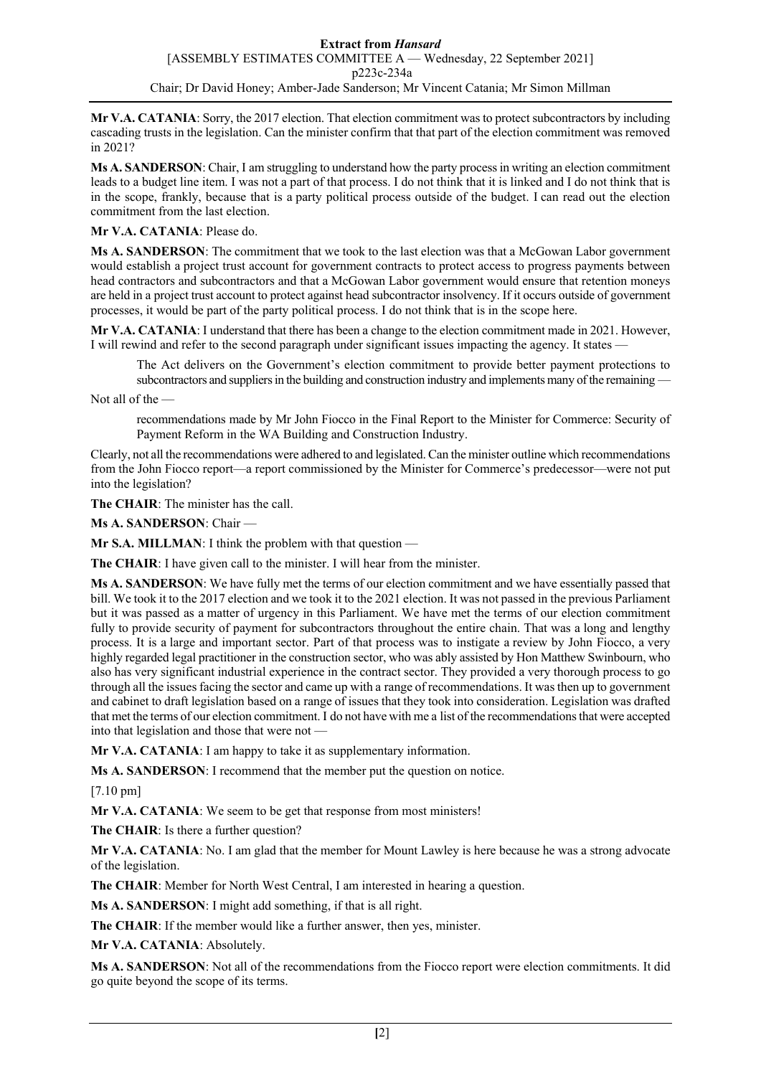**Mr V.A. CATANIA**: Sorry, the 2017 election. That election commitment was to protect subcontractors by including cascading trusts in the legislation. Can the minister confirm that that part of the election commitment was removed in 2021?

**Ms A. SANDERSON**: Chair, I am struggling to understand how the party process in writing an election commitment leads to a budget line item. I was not a part of that process. I do not think that it is linked and I do not think that is in the scope, frankly, because that is a party political process outside of the budget. I can read out the election commitment from the last election.

# **Mr V.A. CATANIA**: Please do.

**Ms A. SANDERSON**: The commitment that we took to the last election was that a McGowan Labor government would establish a project trust account for government contracts to protect access to progress payments between head contractors and subcontractors and that a McGowan Labor government would ensure that retention moneys are held in a project trust account to protect against head subcontractor insolvency. If it occurs outside of government processes, it would be part of the party political process. I do not think that is in the scope here.

**Mr V.A. CATANIA**: I understand that there has been a change to the election commitment made in 2021. However, I will rewind and refer to the second paragraph under significant issues impacting the agency. It states —

The Act delivers on the Government's election commitment to provide better payment protections to subcontractors and suppliers in the building and construction industry and implements many of the remaining —

Not all of the —

recommendations made by Mr John Fiocco in the Final Report to the Minister for Commerce: Security of Payment Reform in the WA Building and Construction Industry.

Clearly, not all the recommendations were adhered to and legislated. Can the minister outline which recommendations from the John Fiocco report—a report commissioned by the Minister for Commerce's predecessor—were not put into the legislation?

**The CHAIR**: The minister has the call.

**Ms A. SANDERSON**: Chair —

**Mr S.A. MILLMAN:** I think the problem with that question -

**The CHAIR**: I have given call to the minister. I will hear from the minister.

**Ms A. SANDERSON**: We have fully met the terms of our election commitment and we have essentially passed that bill. We took it to the 2017 election and we took it to the 2021 election. It was not passed in the previous Parliament but it was passed as a matter of urgency in this Parliament. We have met the terms of our election commitment fully to provide security of payment for subcontractors throughout the entire chain. That was a long and lengthy process. It is a large and important sector. Part of that process was to instigate a review by John Fiocco, a very highly regarded legal practitioner in the construction sector, who was ably assisted by Hon Matthew Swinbourn, who also has very significant industrial experience in the contract sector. They provided a very thorough process to go through all the issues facing the sector and came up with a range of recommendations. It was then up to government and cabinet to draft legislation based on a range of issues that they took into consideration. Legislation was drafted that met the terms of our election commitment. I do not have with me a list of the recommendations that were accepted into that legislation and those that were not -

**Mr V.A. CATANIA**: I am happy to take it as supplementary information.

**Ms A. SANDERSON**: I recommend that the member put the question on notice.

[7.10 pm]

**Mr V.A. CATANIA**: We seem to be get that response from most ministers!

**The CHAIR**: Is there a further question?

**Mr V.A. CATANIA**: No. I am glad that the member for Mount Lawley is here because he was a strong advocate of the legislation.

**The CHAIR**: Member for North West Central, I am interested in hearing a question.

**Ms A. SANDERSON**: I might add something, if that is all right.

**The CHAIR**: If the member would like a further answer, then yes, minister.

**Mr V.A. CATANIA**: Absolutely.

**Ms A. SANDERSON**: Not all of the recommendations from the Fiocco report were election commitments. It did go quite beyond the scope of its terms.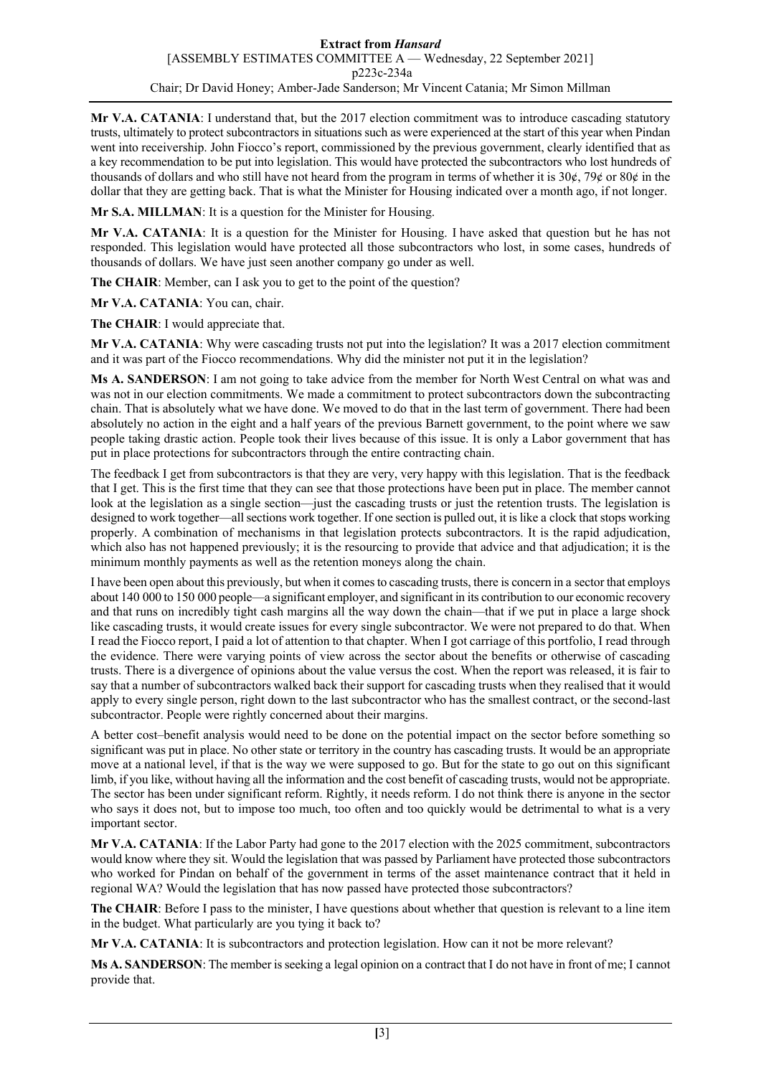**Mr V.A. CATANIA**: I understand that, but the 2017 election commitment was to introduce cascading statutory trusts, ultimately to protect subcontractors in situations such as were experienced at the start of this year when Pindan went into receivership. John Fiocco's report, commissioned by the previous government, clearly identified that as a key recommendation to be put into legislation. This would have protected the subcontractors who lost hundreds of thousands of dollars and who still have not heard from the program in terms of whether it is  $30¢$ ,  $79¢$  or  $80¢$  in the dollar that they are getting back. That is what the Minister for Housing indicated over a month ago, if not longer.

**Mr S.A. MILLMAN**: It is a question for the Minister for Housing.

**Mr V.A. CATANIA**: It is a question for the Minister for Housing. I have asked that question but he has not responded. This legislation would have protected all those subcontractors who lost, in some cases, hundreds of thousands of dollars. We have just seen another company go under as well.

**The CHAIR**: Member, can I ask you to get to the point of the question?

**Mr V.A. CATANIA**: You can, chair.

**The CHAIR**: I would appreciate that.

**Mr V.A. CATANIA**: Why were cascading trusts not put into the legislation? It was a 2017 election commitment and it was part of the Fiocco recommendations. Why did the minister not put it in the legislation?

**Ms A. SANDERSON**: I am not going to take advice from the member for North West Central on what was and was not in our election commitments. We made a commitment to protect subcontractors down the subcontracting chain. That is absolutely what we have done. We moved to do that in the last term of government. There had been absolutely no action in the eight and a half years of the previous Barnett government, to the point where we saw people taking drastic action. People took their lives because of this issue. It is only a Labor government that has put in place protections for subcontractors through the entire contracting chain.

The feedback I get from subcontractors is that they are very, very happy with this legislation. That is the feedback that I get. This is the first time that they can see that those protections have been put in place. The member cannot look at the legislation as a single section—just the cascading trusts or just the retention trusts. The legislation is designed to work together—all sections work together. If one section is pulled out, it is like a clock that stops working properly. A combination of mechanisms in that legislation protects subcontractors. It is the rapid adjudication, which also has not happened previously; it is the resourcing to provide that advice and that adjudication; it is the minimum monthly payments as well as the retention moneys along the chain.

I have been open about this previously, but when it comes to cascading trusts, there is concern in a sector that employs about 140 000 to 150 000 people—a significant employer, and significant in its contribution to our economic recovery and that runs on incredibly tight cash margins all the way down the chain—that if we put in place a large shock like cascading trusts, it would create issues for every single subcontractor. We were not prepared to do that. When I read the Fiocco report, I paid a lot of attention to that chapter. When I got carriage of this portfolio, I read through the evidence. There were varying points of view across the sector about the benefits or otherwise of cascading trusts. There is a divergence of opinions about the value versus the cost. When the report was released, it is fair to say that a number of subcontractors walked back their support for cascading trusts when they realised that it would apply to every single person, right down to the last subcontractor who has the smallest contract, or the second-last subcontractor. People were rightly concerned about their margins.

A better cost–benefit analysis would need to be done on the potential impact on the sector before something so significant was put in place. No other state or territory in the country has cascading trusts. It would be an appropriate move at a national level, if that is the way we were supposed to go. But for the state to go out on this significant limb, if you like, without having all the information and the cost benefit of cascading trusts, would not be appropriate. The sector has been under significant reform. Rightly, it needs reform. I do not think there is anyone in the sector who says it does not, but to impose too much, too often and too quickly would be detrimental to what is a very important sector.

**Mr V.A. CATANIA**: If the Labor Party had gone to the 2017 election with the 2025 commitment, subcontractors would know where they sit. Would the legislation that was passed by Parliament have protected those subcontractors who worked for Pindan on behalf of the government in terms of the asset maintenance contract that it held in regional WA? Would the legislation that has now passed have protected those subcontractors?

**The CHAIR**: Before I pass to the minister, I have questions about whether that question is relevant to a line item in the budget. What particularly are you tying it back to?

**Mr V.A. CATANIA**: It is subcontractors and protection legislation. How can it not be more relevant?

**Ms A. SANDERSON**: The member is seeking a legal opinion on a contract that I do not have in front of me; I cannot provide that.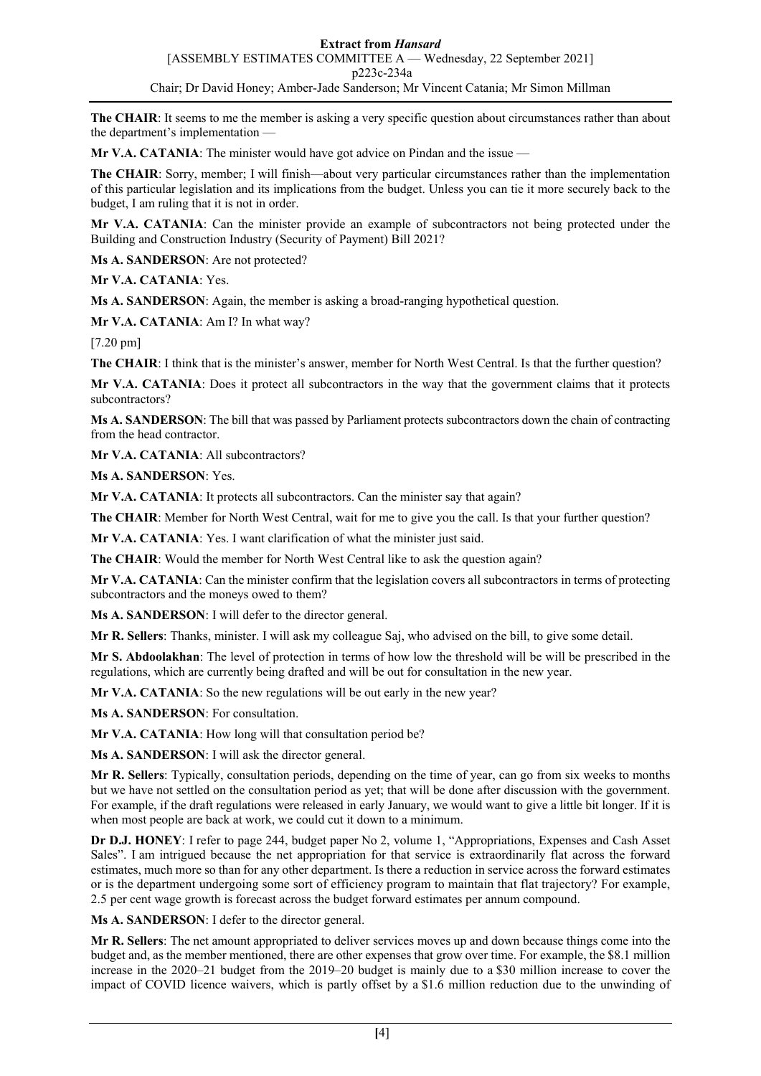**The CHAIR**: It seems to me the member is asking a very specific question about circumstances rather than about the department's implementation —

**Mr V.A. CATANIA**: The minister would have got advice on Pindan and the issue —

**The CHAIR**: Sorry, member; I will finish—about very particular circumstances rather than the implementation of this particular legislation and its implications from the budget. Unless you can tie it more securely back to the budget, I am ruling that it is not in order.

**Mr V.A. CATANIA**: Can the minister provide an example of subcontractors not being protected under the Building and Construction Industry (Security of Payment) Bill 2021?

**Ms A. SANDERSON**: Are not protected?

**Mr V.A. CATANIA**: Yes.

**Ms A. SANDERSON**: Again, the member is asking a broad-ranging hypothetical question.

**Mr V.A. CATANIA**: Am I? In what way?

[7.20 pm]

**The CHAIR**: I think that is the minister's answer, member for North West Central. Is that the further question?

**Mr V.A. CATANIA**: Does it protect all subcontractors in the way that the government claims that it protects subcontractors?

**Ms A. SANDERSON**: The bill that was passed by Parliament protects subcontractors down the chain of contracting from the head contractor.

**Mr V.A. CATANIA**: All subcontractors?

**Ms A. SANDERSON**: Yes.

Mr V.A. CATANIA: It protects all subcontractors. Can the minister say that again?

**The CHAIR**: Member for North West Central, wait for me to give you the call. Is that your further question?

**Mr V.A. CATANIA**: Yes. I want clarification of what the minister just said.

**The CHAIR**: Would the member for North West Central like to ask the question again?

**Mr V.A. CATANIA**: Can the minister confirm that the legislation covers all subcontractors in terms of protecting subcontractors and the moneys owed to them?

**Ms A. SANDERSON**: I will defer to the director general.

**Mr R. Sellers**: Thanks, minister. I will ask my colleague Saj, who advised on the bill, to give some detail.

**Mr S. Abdoolakhan**: The level of protection in terms of how low the threshold will be will be prescribed in the regulations, which are currently being drafted and will be out for consultation in the new year.

**Mr V.A. CATANIA**: So the new regulations will be out early in the new year?

**Ms A. SANDERSON**: For consultation.

**Mr V.A. CATANIA**: How long will that consultation period be?

**Ms A. SANDERSON**: I will ask the director general.

**Mr R. Sellers**: Typically, consultation periods, depending on the time of year, can go from six weeks to months but we have not settled on the consultation period as yet; that will be done after discussion with the government. For example, if the draft regulations were released in early January, we would want to give a little bit longer. If it is when most people are back at work, we could cut it down to a minimum.

**Dr D.J. HONEY**: I refer to page 244, budget paper No 2, volume 1, "Appropriations, Expenses and Cash Asset Sales". I am intrigued because the net appropriation for that service is extraordinarily flat across the forward estimates, much more so than for any other department. Is there a reduction in service across the forward estimates or is the department undergoing some sort of efficiency program to maintain that flat trajectory? For example, 2.5 per cent wage growth is forecast across the budget forward estimates per annum compound.

**Ms A. SANDERSON**: I defer to the director general.

**Mr R. Sellers**: The net amount appropriated to deliver services moves up and down because things come into the budget and, as the member mentioned, there are other expenses that grow over time. For example, the \$8.1 million increase in the 2020–21 budget from the 2019–20 budget is mainly due to a \$30 million increase to cover the impact of COVID licence waivers, which is partly offset by a \$1.6 million reduction due to the unwinding of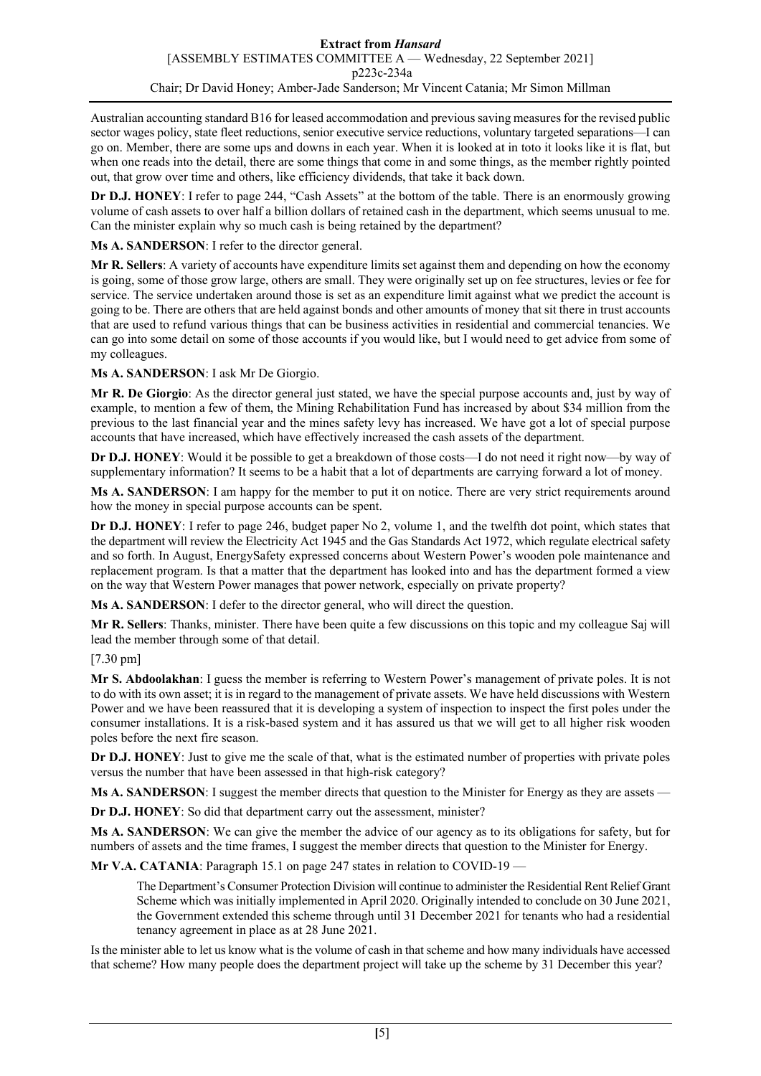Australian accounting standard B16 for leased accommodation and previous saving measures for the revised public sector wages policy, state fleet reductions, senior executive service reductions, voluntary targeted separations—I can go on. Member, there are some ups and downs in each year. When it is looked at in toto it looks like it is flat, but when one reads into the detail, there are some things that come in and some things, as the member rightly pointed out, that grow over time and others, like efficiency dividends, that take it back down.

**Dr D.J. HONEY**: I refer to page 244, "Cash Assets" at the bottom of the table. There is an enormously growing volume of cash assets to over half a billion dollars of retained cash in the department, which seems unusual to me. Can the minister explain why so much cash is being retained by the department?

**Ms A. SANDERSON**: I refer to the director general.

**Mr R. Sellers**: A variety of accounts have expenditure limits set against them and depending on how the economy is going, some of those grow large, others are small. They were originally set up on fee structures, levies or fee for service. The service undertaken around those is set as an expenditure limit against what we predict the account is going to be. There are others that are held against bonds and other amounts of money that sit there in trust accounts that are used to refund various things that can be business activities in residential and commercial tenancies. We can go into some detail on some of those accounts if you would like, but I would need to get advice from some of my colleagues.

**Ms A. SANDERSON**: I ask Mr De Giorgio.

**Mr R. De Giorgio**: As the director general just stated, we have the special purpose accounts and, just by way of example, to mention a few of them, the Mining Rehabilitation Fund has increased by about \$34 million from the previous to the last financial year and the mines safety levy has increased. We have got a lot of special purpose accounts that have increased, which have effectively increased the cash assets of the department.

**Dr D.J. HONEY**: Would it be possible to get a breakdown of those costs—I do not need it right now—by way of supplementary information? It seems to be a habit that a lot of departments are carrying forward a lot of money.

**Ms A. SANDERSON**: I am happy for the member to put it on notice. There are very strict requirements around how the money in special purpose accounts can be spent.

**Dr D.J. HONEY**: I refer to page 246, budget paper No 2, volume 1, and the twelfth dot point, which states that the department will review the Electricity Act 1945 and the Gas Standards Act 1972, which regulate electrical safety and so forth. In August, EnergySafety expressed concerns about Western Power's wooden pole maintenance and replacement program. Is that a matter that the department has looked into and has the department formed a view on the way that Western Power manages that power network, especially on private property?

**Ms A. SANDERSON**: I defer to the director general, who will direct the question.

**Mr R. Sellers**: Thanks, minister. There have been quite a few discussions on this topic and my colleague Saj will lead the member through some of that detail.

[7.30 pm]

**Mr S. Abdoolakhan**: I guess the member is referring to Western Power's management of private poles. It is not to do with its own asset; it is in regard to the management of private assets. We have held discussions with Western Power and we have been reassured that it is developing a system of inspection to inspect the first poles under the consumer installations. It is a risk-based system and it has assured us that we will get to all higher risk wooden poles before the next fire season.

**Dr D.J. HONEY**: Just to give me the scale of that, what is the estimated number of properties with private poles versus the number that have been assessed in that high-risk category?

**Ms A. SANDERSON:** I suggest the member directs that question to the Minister for Energy as they are assets —

**Dr D.J. HONEY**: So did that department carry out the assessment, minister?

**Ms A. SANDERSON**: We can give the member the advice of our agency as to its obligations for safety, but for numbers of assets and the time frames, I suggest the member directs that question to the Minister for Energy.

**Mr V.A. CATANIA:** Paragraph 15.1 on page 247 states in relation to COVID-19 —

The Department's Consumer Protection Division will continue to administer the Residential Rent Relief Grant Scheme which was initially implemented in April 2020. Originally intended to conclude on 30 June 2021, the Government extended this scheme through until 31 December 2021 for tenants who had a residential tenancy agreement in place as at 28 June 2021.

Is the minister able to let us know what is the volume of cash in that scheme and how many individuals have accessed that scheme? How many people does the department project will take up the scheme by 31 December this year?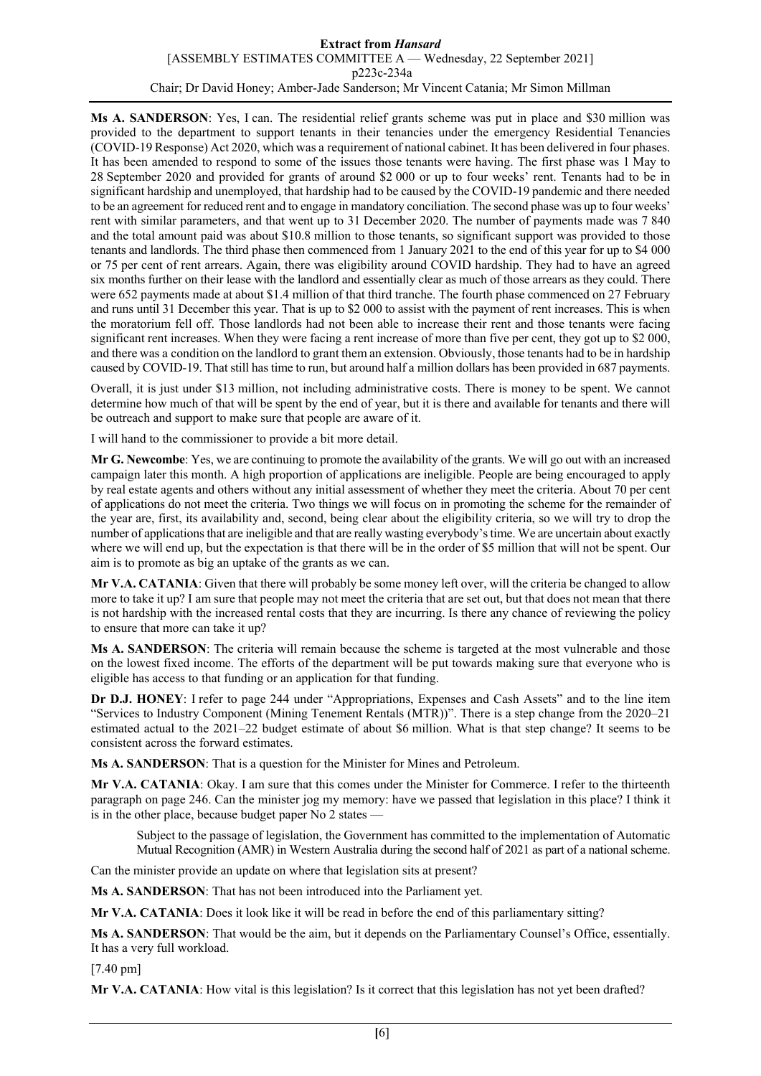#### **Extract from** *Hansard* [ASSEMBLY ESTIMATES COMMITTEE A — Wednesday, 22 September 2021] p223c-234a Chair; Dr David Honey; Amber-Jade Sanderson; Mr Vincent Catania; Mr Simon Millman

**Ms A. SANDERSON**: Yes, I can. The residential relief grants scheme was put in place and \$30 million was provided to the department to support tenants in their tenancies under the emergency Residential Tenancies (COVID-19 Response) Act 2020, which was a requirement of national cabinet. It has been delivered in four phases. It has been amended to respond to some of the issues those tenants were having. The first phase was 1 May to 28 September 2020 and provided for grants of around \$2 000 or up to four weeks' rent. Tenants had to be in significant hardship and unemployed, that hardship had to be caused by the COVID-19 pandemic and there needed to be an agreement for reduced rent and to engage in mandatory conciliation. The second phase was up to four weeks' rent with similar parameters, and that went up to 31 December 2020. The number of payments made was 7 840 and the total amount paid was about \$10.8 million to those tenants, so significant support was provided to those tenants and landlords. The third phase then commenced from 1 January 2021 to the end of this year for up to \$4 000 or 75 per cent of rent arrears. Again, there was eligibility around COVID hardship. They had to have an agreed six months further on their lease with the landlord and essentially clear as much of those arrears as they could. There were 652 payments made at about \$1.4 million of that third tranche. The fourth phase commenced on 27 February and runs until 31 December this year. That is up to \$2 000 to assist with the payment of rent increases. This is when the moratorium fell off. Those landlords had not been able to increase their rent and those tenants were facing significant rent increases. When they were facing a rent increase of more than five per cent, they got up to \$2 000, and there was a condition on the landlord to grant them an extension. Obviously, those tenants had to be in hardship caused by COVID-19. That still has time to run, but around half a million dollars has been provided in 687 payments.

Overall, it is just under \$13 million, not including administrative costs. There is money to be spent. We cannot determine how much of that will be spent by the end of year, but it is there and available for tenants and there will be outreach and support to make sure that people are aware of it.

I will hand to the commissioner to provide a bit more detail.

**Mr G. Newcombe**: Yes, we are continuing to promote the availability of the grants. We will go out with an increased campaign later this month. A high proportion of applications are ineligible. People are being encouraged to apply by real estate agents and others without any initial assessment of whether they meet the criteria. About 70 per cent of applications do not meet the criteria. Two things we will focus on in promoting the scheme for the remainder of the year are, first, its availability and, second, being clear about the eligibility criteria, so we will try to drop the number of applications that are ineligible and that are really wasting everybody's time. We are uncertain about exactly where we will end up, but the expectation is that there will be in the order of \$5 million that will not be spent. Our aim is to promote as big an uptake of the grants as we can.

**Mr V.A. CATANIA**: Given that there will probably be some money left over, will the criteria be changed to allow more to take it up? I am sure that people may not meet the criteria that are set out, but that does not mean that there is not hardship with the increased rental costs that they are incurring. Is there any chance of reviewing the policy to ensure that more can take it up?

**Ms A. SANDERSON**: The criteria will remain because the scheme is targeted at the most vulnerable and those on the lowest fixed income. The efforts of the department will be put towards making sure that everyone who is eligible has access to that funding or an application for that funding.

**Dr D.J. HONEY**: I refer to page 244 under "Appropriations, Expenses and Cash Assets" and to the line item "Services to Industry Component (Mining Tenement Rentals (MTR))". There is a step change from the 2020–21 estimated actual to the 2021–22 budget estimate of about \$6 million. What is that step change? It seems to be consistent across the forward estimates.

**Ms A. SANDERSON**: That is a question for the Minister for Mines and Petroleum.

**Mr V.A. CATANIA**: Okay. I am sure that this comes under the Minister for Commerce. I refer to the thirteenth paragraph on page 246. Can the minister jog my memory: have we passed that legislation in this place? I think it is in the other place, because budget paper No  $2$  states  $\cdot$ 

Subject to the passage of legislation, the Government has committed to the implementation of Automatic Mutual Recognition (AMR) in Western Australia during the second half of 2021 as part of a national scheme.

Can the minister provide an update on where that legislation sits at present?

**Ms A. SANDERSON**: That has not been introduced into the Parliament yet.

**Mr V.A. CATANIA**: Does it look like it will be read in before the end of this parliamentary sitting?

**Ms A. SANDERSON**: That would be the aim, but it depends on the Parliamentary Counsel's Office, essentially. It has a very full workload.

[7.40 pm]

**Mr V.A. CATANIA**: How vital is this legislation? Is it correct that this legislation has not yet been drafted?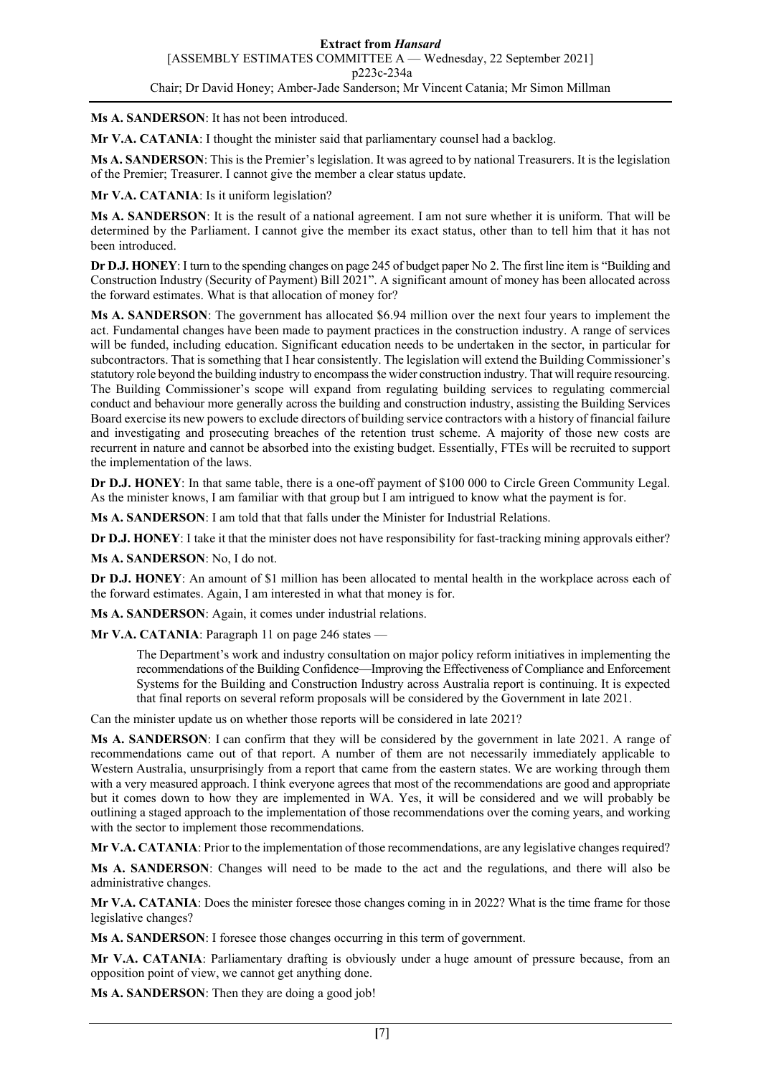**Ms A. SANDERSON**: It has not been introduced.

**Mr V.A. CATANIA:** I thought the minister said that parliamentary counsel had a backlog.

**Ms A. SANDERSON**: This is the Premier's legislation. It was agreed to by national Treasurers. It is the legislation of the Premier; Treasurer. I cannot give the member a clear status update.

**Mr V.A. CATANIA**: Is it uniform legislation?

**Ms A. SANDERSON**: It is the result of a national agreement. I am not sure whether it is uniform. That will be determined by the Parliament. I cannot give the member its exact status, other than to tell him that it has not been introduced.

**Dr D.J. HONEY**: I turn to the spending changes on page 245 of budget paper No 2. The first line item is "Building and Construction Industry (Security of Payment) Bill 2021". A significant amount of money has been allocated across the forward estimates. What is that allocation of money for?

**Ms A. SANDERSON**: The government has allocated \$6.94 million over the next four years to implement the act. Fundamental changes have been made to payment practices in the construction industry. A range of services will be funded, including education. Significant education needs to be undertaken in the sector, in particular for subcontractors. That is something that I hear consistently. The legislation will extend the Building Commissioner's statutory role beyond the building industry to encompass the wider construction industry. That will require resourcing. The Building Commissioner's scope will expand from regulating building services to regulating commercial conduct and behaviour more generally across the building and construction industry, assisting the Building Services Board exercise its new powers to exclude directors of building service contractors with a history of financial failure and investigating and prosecuting breaches of the retention trust scheme. A majority of those new costs are recurrent in nature and cannot be absorbed into the existing budget. Essentially, FTEs will be recruited to support the implementation of the laws.

**Dr D.J. HONEY**: In that same table, there is a one-off payment of \$100 000 to Circle Green Community Legal. As the minister knows, I am familiar with that group but I am intrigued to know what the payment is for.

**Ms A. SANDERSON**: I am told that that falls under the Minister for Industrial Relations.

**Dr D.J. HONEY**: I take it that the minister does not have responsibility for fast-tracking mining approvals either?

**Ms A. SANDERSON**: No, I do not.

**Dr D.J. HONEY**: An amount of \$1 million has been allocated to mental health in the workplace across each of the forward estimates. Again, I am interested in what that money is for.

**Ms A. SANDERSON**: Again, it comes under industrial relations.

**Mr V.A. CATANIA**: Paragraph 11 on page 246 states —

The Department's work and industry consultation on major policy reform initiatives in implementing the recommendations of the Building Confidence—Improving the Effectiveness of Compliance and Enforcement Systems for the Building and Construction Industry across Australia report is continuing. It is expected that final reports on several reform proposals will be considered by the Government in late 2021.

Can the minister update us on whether those reports will be considered in late 2021?

**Ms A. SANDERSON**: I can confirm that they will be considered by the government in late 2021. A range of recommendations came out of that report. A number of them are not necessarily immediately applicable to Western Australia, unsurprisingly from a report that came from the eastern states. We are working through them with a very measured approach. I think everyone agrees that most of the recommendations are good and appropriate but it comes down to how they are implemented in WA. Yes, it will be considered and we will probably be outlining a staged approach to the implementation of those recommendations over the coming years, and working with the sector to implement those recommendations.

**Mr V.A. CATANIA**: Prior to the implementation of those recommendations, are any legislative changes required?

**Ms A. SANDERSON**: Changes will need to be made to the act and the regulations, and there will also be administrative changes.

**Mr V.A. CATANIA**: Does the minister foresee those changes coming in in 2022? What is the time frame for those legislative changes?

**Ms A. SANDERSON**: I foresee those changes occurring in this term of government.

**Mr V.A. CATANIA**: Parliamentary drafting is obviously under a huge amount of pressure because, from an opposition point of view, we cannot get anything done.

Ms A. SANDERSON: Then they are doing a good job!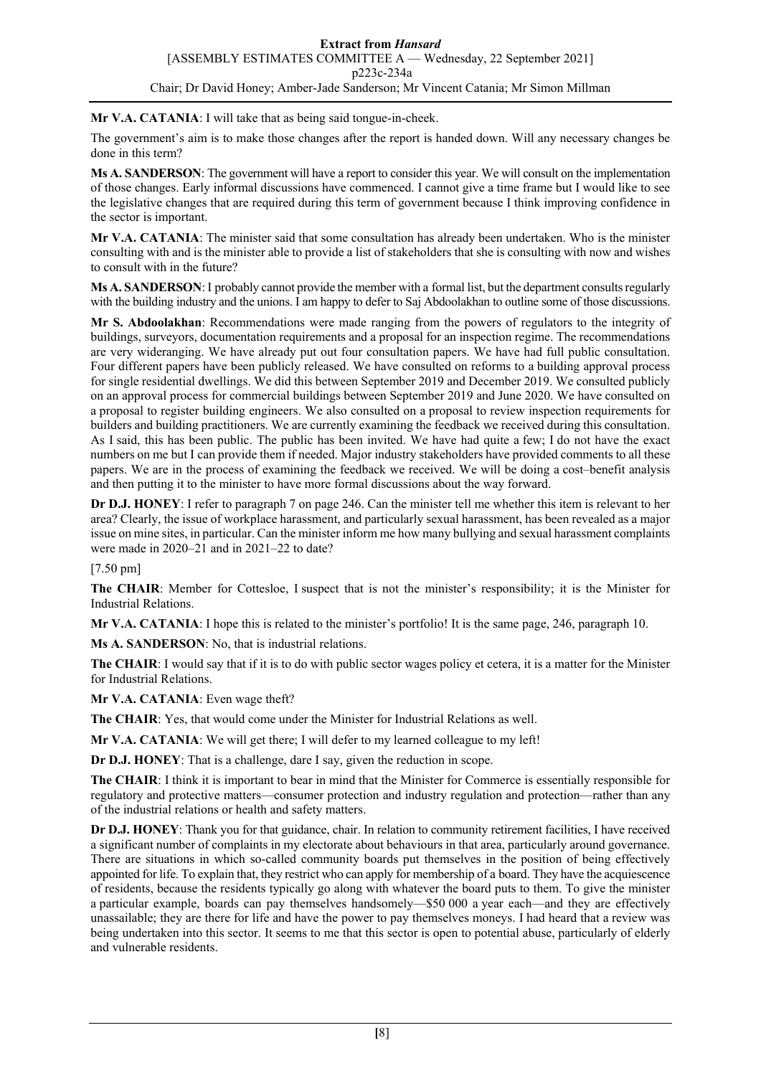### **Mr V.A. CATANIA**: I will take that as being said tongue-in-cheek.

The government's aim is to make those changes after the report is handed down. Will any necessary changes be done in this term?

**Ms A. SANDERSON**: The government will have a report to consider this year. We will consult on the implementation of those changes. Early informal discussions have commenced. I cannot give a time frame but I would like to see the legislative changes that are required during this term of government because I think improving confidence in the sector is important.

**Mr V.A. CATANIA**: The minister said that some consultation has already been undertaken. Who is the minister consulting with and is the minister able to provide a list of stakeholders that she is consulting with now and wishes to consult with in the future?

**Ms A. SANDERSON**:I probably cannot provide the member with a formal list, but the department consults regularly with the building industry and the unions. I am happy to defer to Saj Abdoolakhan to outline some of those discussions.

**Mr S. Abdoolakhan**: Recommendations were made ranging from the powers of regulators to the integrity of buildings, surveyors, documentation requirements and a proposal for an inspection regime. The recommendations are very wideranging. We have already put out four consultation papers. We have had full public consultation. Four different papers have been publicly released. We have consulted on reforms to a building approval process for single residential dwellings. We did this between September 2019 and December 2019. We consulted publicly on an approval process for commercial buildings between September 2019 and June 2020. We have consulted on a proposal to register building engineers. We also consulted on a proposal to review inspection requirements for builders and building practitioners. We are currently examining the feedback we received during this consultation. As I said, this has been public. The public has been invited. We have had quite a few; I do not have the exact numbers on me but I can provide them if needed. Major industry stakeholders have provided comments to all these papers. We are in the process of examining the feedback we received. We will be doing a cost–benefit analysis and then putting it to the minister to have more formal discussions about the way forward.

**Dr D.J. HONEY**: I refer to paragraph 7 on page 246. Can the minister tell me whether this item is relevant to her area? Clearly, the issue of workplace harassment, and particularly sexual harassment, has been revealed as a major issue on mine sites, in particular. Can the minister inform me how many bullying and sexual harassment complaints were made in 2020–21 and in 2021–22 to date?

[7.50 pm]

**The CHAIR**: Member for Cottesloe, I suspect that is not the minister's responsibility; it is the Minister for Industrial Relations.

**Mr V.A. CATANIA**: I hope this is related to the minister's portfolio! It is the same page, 246, paragraph 10.

**Ms A. SANDERSON**: No, that is industrial relations.

**The CHAIR**: I would say that if it is to do with public sector wages policy et cetera, it is a matter for the Minister for Industrial Relations.

**Mr V.A. CATANIA**: Even wage theft?

**The CHAIR**: Yes, that would come under the Minister for Industrial Relations as well.

**Mr V.A. CATANIA**: We will get there; I will defer to my learned colleague to my left!

**Dr D.J. HONEY**: That is a challenge, dare I say, given the reduction in scope.

**The CHAIR**: I think it is important to bear in mind that the Minister for Commerce is essentially responsible for regulatory and protective matters—consumer protection and industry regulation and protection—rather than any of the industrial relations or health and safety matters.

**Dr D.J. HONEY**: Thank you for that guidance, chair. In relation to community retirement facilities, I have received a significant number of complaints in my electorate about behaviours in that area, particularly around governance. There are situations in which so-called community boards put themselves in the position of being effectively appointed for life. To explain that, they restrict who can apply for membership of a board. They have the acquiescence of residents, because the residents typically go along with whatever the board puts to them. To give the minister a particular example, boards can pay themselves handsomely—\$50 000 a year each—and they are effectively unassailable; they are there for life and have the power to pay themselves moneys. I had heard that a review was being undertaken into this sector. It seems to me that this sector is open to potential abuse, particularly of elderly and vulnerable residents.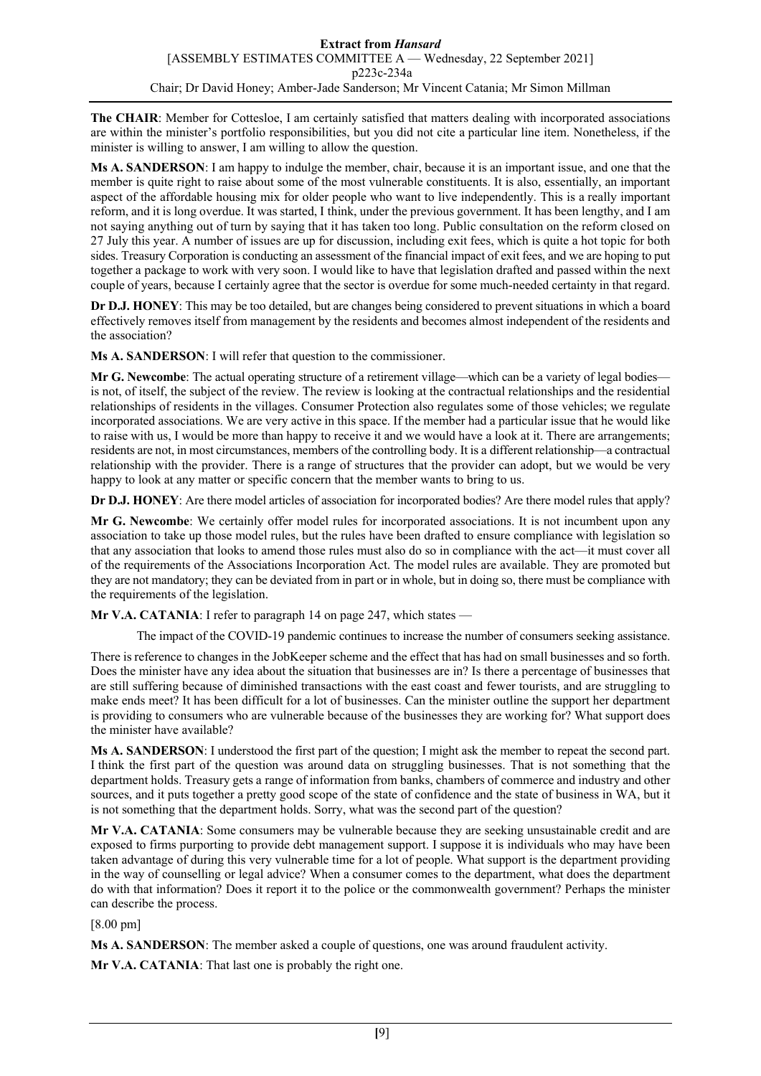**The CHAIR**: Member for Cottesloe, I am certainly satisfied that matters dealing with incorporated associations are within the minister's portfolio responsibilities, but you did not cite a particular line item. Nonetheless, if the minister is willing to answer, I am willing to allow the question.

**Ms A. SANDERSON**: I am happy to indulge the member, chair, because it is an important issue, and one that the member is quite right to raise about some of the most vulnerable constituents. It is also, essentially, an important aspect of the affordable housing mix for older people who want to live independently. This is a really important reform, and it is long overdue. It was started, I think, under the previous government. It has been lengthy, and I am not saying anything out of turn by saying that it has taken too long. Public consultation on the reform closed on 27 July this year. A number of issues are up for discussion, including exit fees, which is quite a hot topic for both sides. Treasury Corporation is conducting an assessment of the financial impact of exit fees, and we are hoping to put together a package to work with very soon. I would like to have that legislation drafted and passed within the next couple of years, because I certainly agree that the sector is overdue for some much-needed certainty in that regard.

**Dr D.J. HONEY**: This may be too detailed, but are changes being considered to prevent situations in which a board effectively removes itself from management by the residents and becomes almost independent of the residents and the association?

**Ms A. SANDERSON**: I will refer that question to the commissioner.

**Mr G. Newcombe**: The actual operating structure of a retirement village—which can be a variety of legal bodies is not, of itself, the subject of the review. The review is looking at the contractual relationships and the residential relationships of residents in the villages. Consumer Protection also regulates some of those vehicles; we regulate incorporated associations. We are very active in this space. If the member had a particular issue that he would like to raise with us, I would be more than happy to receive it and we would have a look at it. There are arrangements; residents are not, in most circumstances, members of the controlling body. It is a different relationship—a contractual relationship with the provider. There is a range of structures that the provider can adopt, but we would be very happy to look at any matter or specific concern that the member wants to bring to us.

**Dr D.J. HONEY**: Are there model articles of association for incorporated bodies? Are there model rules that apply?

**Mr G. Newcombe**: We certainly offer model rules for incorporated associations. It is not incumbent upon any association to take up those model rules, but the rules have been drafted to ensure compliance with legislation so that any association that looks to amend those rules must also do so in compliance with the act—it must cover all of the requirements of the Associations Incorporation Act. The model rules are available. They are promoted but they are not mandatory; they can be deviated from in part or in whole, but in doing so, there must be compliance with the requirements of the legislation.

**Mr V.A. CATANIA**: I refer to paragraph 14 on page 247, which states —

The impact of the COVID-19 pandemic continues to increase the number of consumers seeking assistance.

There is reference to changes in the JobKeeper scheme and the effect that has had on small businesses and so forth. Does the minister have any idea about the situation that businesses are in? Is there a percentage of businesses that are still suffering because of diminished transactions with the east coast and fewer tourists, and are struggling to make ends meet? It has been difficult for a lot of businesses. Can the minister outline the support her department is providing to consumers who are vulnerable because of the businesses they are working for? What support does the minister have available?

**Ms A. SANDERSON**: I understood the first part of the question; I might ask the member to repeat the second part. I think the first part of the question was around data on struggling businesses. That is not something that the department holds. Treasury gets a range of information from banks, chambers of commerce and industry and other sources, and it puts together a pretty good scope of the state of confidence and the state of business in WA, but it is not something that the department holds. Sorry, what was the second part of the question?

**Mr V.A. CATANIA**: Some consumers may be vulnerable because they are seeking unsustainable credit and are exposed to firms purporting to provide debt management support. I suppose it is individuals who may have been taken advantage of during this very vulnerable time for a lot of people. What support is the department providing in the way of counselling or legal advice? When a consumer comes to the department, what does the department do with that information? Does it report it to the police or the commonwealth government? Perhaps the minister can describe the process.

[8.00 pm]

**Ms A. SANDERSON**: The member asked a couple of questions, one was around fraudulent activity.

**Mr V.A. CATANIA**: That last one is probably the right one.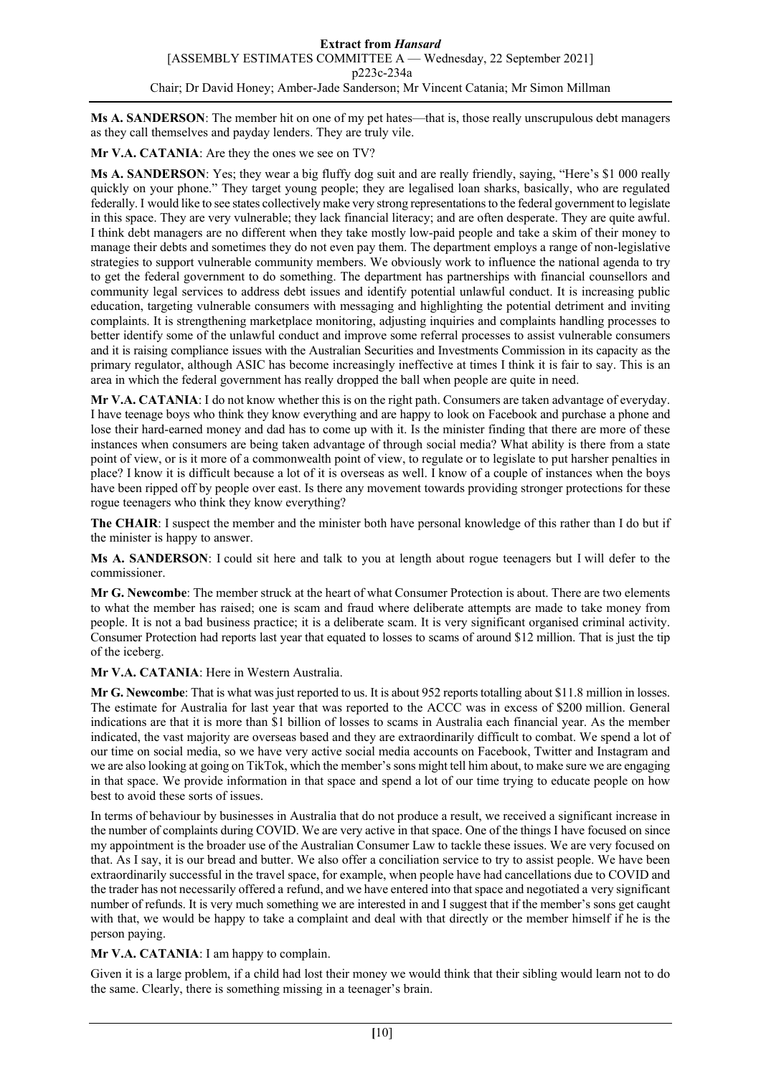**Ms A. SANDERSON**: The member hit on one of my pet hates—that is, those really unscrupulous debt managers as they call themselves and payday lenders. They are truly vile.

**Mr V.A. CATANIA**: Are they the ones we see on TV?

**Ms A. SANDERSON**: Yes; they wear a big fluffy dog suit and are really friendly, saying, "Here's \$1 000 really quickly on your phone." They target young people; they are legalised loan sharks, basically, who are regulated federally. I would like to see states collectively make very strong representations to the federal government to legislate in this space. They are very vulnerable; they lack financial literacy; and are often desperate. They are quite awful. I think debt managers are no different when they take mostly low-paid people and take a skim of their money to manage their debts and sometimes they do not even pay them. The department employs a range of non-legislative strategies to support vulnerable community members. We obviously work to influence the national agenda to try to get the federal government to do something. The department has partnerships with financial counsellors and community legal services to address debt issues and identify potential unlawful conduct. It is increasing public education, targeting vulnerable consumers with messaging and highlighting the potential detriment and inviting complaints. It is strengthening marketplace monitoring, adjusting inquiries and complaints handling processes to better identify some of the unlawful conduct and improve some referral processes to assist vulnerable consumers and it is raising compliance issues with the Australian Securities and Investments Commission in its capacity as the primary regulator, although ASIC has become increasingly ineffective at times I think it is fair to say. This is an area in which the federal government has really dropped the ball when people are quite in need.

**Mr V.A. CATANIA**: I do not know whether this is on the right path. Consumers are taken advantage of everyday. I have teenage boys who think they know everything and are happy to look on Facebook and purchase a phone and lose their hard-earned money and dad has to come up with it. Is the minister finding that there are more of these instances when consumers are being taken advantage of through social media? What ability is there from a state point of view, or is it more of a commonwealth point of view, to regulate or to legislate to put harsher penalties in place? I know it is difficult because a lot of it is overseas as well. I know of a couple of instances when the boys have been ripped off by people over east. Is there any movement towards providing stronger protections for these rogue teenagers who think they know everything?

**The CHAIR**: I suspect the member and the minister both have personal knowledge of this rather than I do but if the minister is happy to answer.

**Ms A. SANDERSON**: I could sit here and talk to you at length about rogue teenagers but I will defer to the commissioner.

**Mr G. Newcombe**: The member struck at the heart of what Consumer Protection is about. There are two elements to what the member has raised; one is scam and fraud where deliberate attempts are made to take money from people. It is not a bad business practice; it is a deliberate scam. It is very significant organised criminal activity. Consumer Protection had reports last year that equated to losses to scams of around \$12 million. That is just the tip of the iceberg.

**Mr V.A. CATANIA**: Here in Western Australia.

**Mr G. Newcombe**: That is what was just reported to us. It is about 952 reports totalling about \$11.8 million in losses. The estimate for Australia for last year that was reported to the ACCC was in excess of \$200 million. General indications are that it is more than \$1 billion of losses to scams in Australia each financial year. As the member indicated, the vast majority are overseas based and they are extraordinarily difficult to combat. We spend a lot of our time on social media, so we have very active social media accounts on Facebook, Twitter and Instagram and we are also looking at going on TikTok, which the member's sons might tell him about, to make sure we are engaging in that space. We provide information in that space and spend a lot of our time trying to educate people on how best to avoid these sorts of issues.

In terms of behaviour by businesses in Australia that do not produce a result, we received a significant increase in the number of complaints during COVID. We are very active in that space. One of the things I have focused on since my appointment is the broader use of the Australian Consumer Law to tackle these issues. We are very focused on that. As I say, it is our bread and butter. We also offer a conciliation service to try to assist people. We have been extraordinarily successful in the travel space, for example, when people have had cancellations due to COVID and the trader has not necessarily offered a refund, and we have entered into that space and negotiated a very significant number of refunds. It is very much something we are interested in and I suggest that if the member's sons get caught with that, we would be happy to take a complaint and deal with that directly or the member himself if he is the person paying.

**Mr V.A. CATANIA**: I am happy to complain.

Given it is a large problem, if a child had lost their money we would think that their sibling would learn not to do the same. Clearly, there is something missing in a teenager's brain.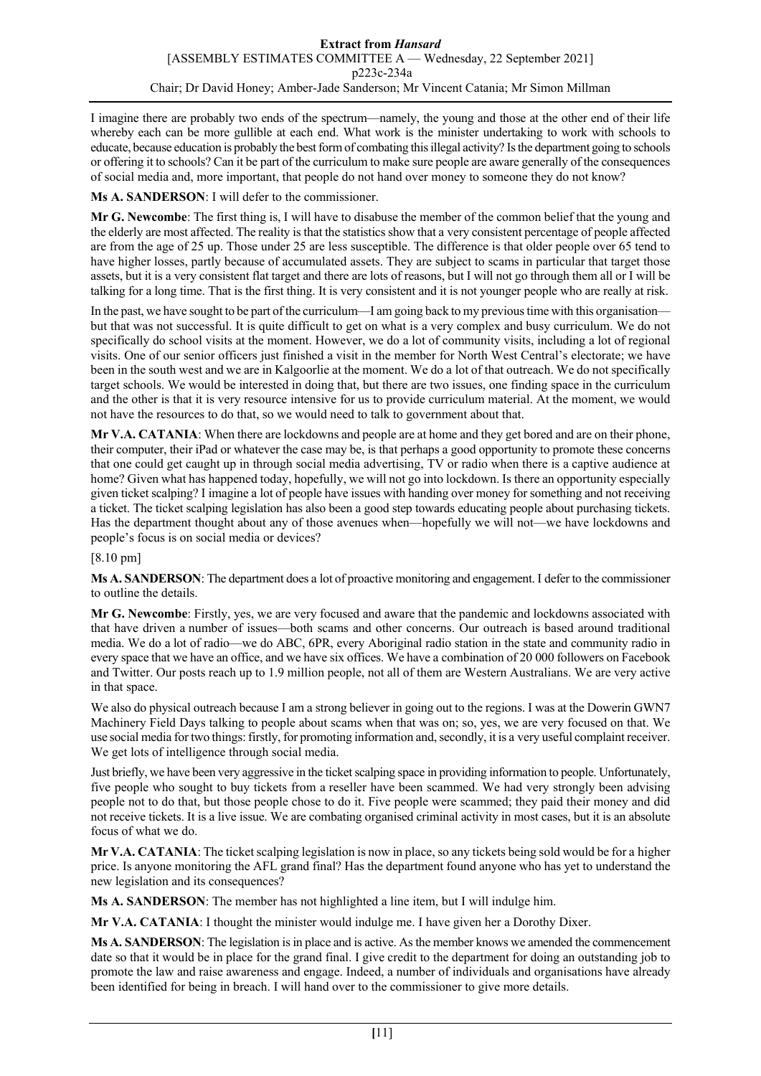I imagine there are probably two ends of the spectrum—namely, the young and those at the other end of their life whereby each can be more gullible at each end. What work is the minister undertaking to work with schools to educate, because education is probably the best form of combating this illegal activity? Is the department going to schools or offering it to schools? Can it be part of the curriculum to make sure people are aware generally of the consequences of social media and, more important, that people do not hand over money to someone they do not know?

**Ms A. SANDERSON**: I will defer to the commissioner.

**Mr G. Newcombe**: The first thing is, I will have to disabuse the member of the common belief that the young and the elderly are most affected. The reality is that the statistics show that a very consistent percentage of people affected are from the age of 25 up. Those under 25 are less susceptible. The difference is that older people over 65 tend to have higher losses, partly because of accumulated assets. They are subject to scams in particular that target those assets, but it is a very consistent flat target and there are lots of reasons, but I will not go through them all or I will be talking for a long time. That is the first thing. It is very consistent and it is not younger people who are really at risk.

In the past, we have sought to be part of the curriculum—I am going back to my previous time with this organisation but that was not successful. It is quite difficult to get on what is a very complex and busy curriculum. We do not specifically do school visits at the moment. However, we do a lot of community visits, including a lot of regional visits. One of our senior officers just finished a visit in the member for North West Central's electorate; we have been in the south west and we are in Kalgoorlie at the moment. We do a lot of that outreach. We do not specifically target schools. We would be interested in doing that, but there are two issues, one finding space in the curriculum and the other is that it is very resource intensive for us to provide curriculum material. At the moment, we would not have the resources to do that, so we would need to talk to government about that.

**Mr V.A. CATANIA**: When there are lockdowns and people are at home and they get bored and are on their phone, their computer, their iPad or whatever the case may be, is that perhaps a good opportunity to promote these concerns that one could get caught up in through social media advertising, TV or radio when there is a captive audience at home? Given what has happened today, hopefully, we will not go into lockdown. Is there an opportunity especially given ticket scalping? I imagine a lot of people have issues with handing over money for something and not receiving a ticket. The ticket scalping legislation has also been a good step towards educating people about purchasing tickets. Has the department thought about any of those avenues when—hopefully we will not—we have lockdowns and people's focus is on social media or devices?

[8.10 pm]

**Ms A. SANDERSON**: The department does a lot of proactive monitoring and engagement. I defer to the commissioner to outline the details.

**Mr G. Newcombe**: Firstly, yes, we are very focused and aware that the pandemic and lockdowns associated with that have driven a number of issues—both scams and other concerns. Our outreach is based around traditional media. We do a lot of radio—we do ABC, 6PR, every Aboriginal radio station in the state and community radio in every space that we have an office, and we have six offices. We have a combination of 20 000 followers on Facebook and Twitter. Our posts reach up to 1.9 million people, not all of them are Western Australians. We are very active in that space.

We also do physical outreach because I am a strong believer in going out to the regions. I was at the Dowerin GWN7 Machinery Field Days talking to people about scams when that was on; so, yes, we are very focused on that. We use social media for two things: firstly, for promoting information and, secondly, it is a very useful complaint receiver. We get lots of intelligence through social media.

Just briefly, we have been very aggressive in the ticket scalping space in providing information to people. Unfortunately, five people who sought to buy tickets from a reseller have been scammed. We had very strongly been advising people not to do that, but those people chose to do it. Five people were scammed; they paid their money and did not receive tickets. It is a live issue. We are combating organised criminal activity in most cases, but it is an absolute focus of what we do.

**Mr V.A. CATANIA**: The ticket scalping legislation is now in place, so any tickets being sold would be for a higher price. Is anyone monitoring the AFL grand final? Has the department found anyone who has yet to understand the new legislation and its consequences?

**Ms A. SANDERSON**: The member has not highlighted a line item, but I will indulge him.

**Mr V.A. CATANIA**: I thought the minister would indulge me. I have given her a Dorothy Dixer.

**Ms A. SANDERSON**: The legislation is in place and is active. As the member knows we amended the commencement date so that it would be in place for the grand final. I give credit to the department for doing an outstanding job to promote the law and raise awareness and engage. Indeed, a number of individuals and organisations have already been identified for being in breach. I will hand over to the commissioner to give more details.